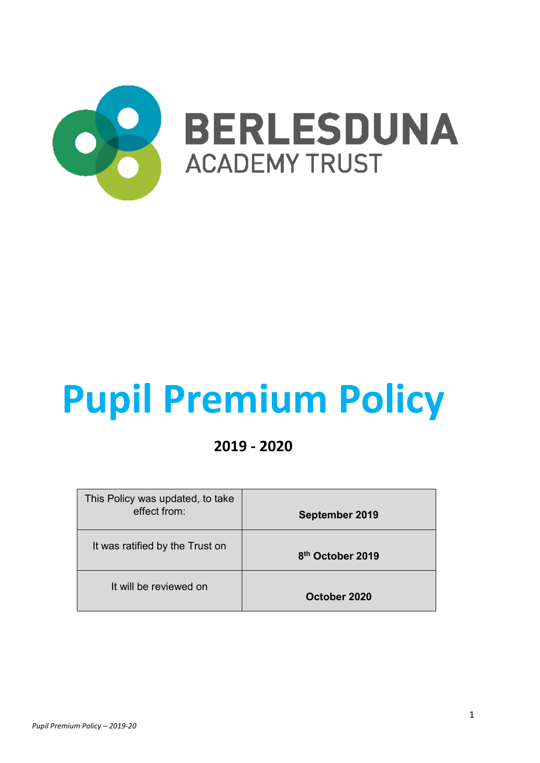

# **Pupil Premium Policy**

# **2019 - 2020**

| This Policy was updated, to take<br>effect from: | September 2019               |
|--------------------------------------------------|------------------------------|
| It was ratified by the Trust on                  | 8 <sup>th</sup> October 2019 |
| It will be reviewed on                           | October 2020                 |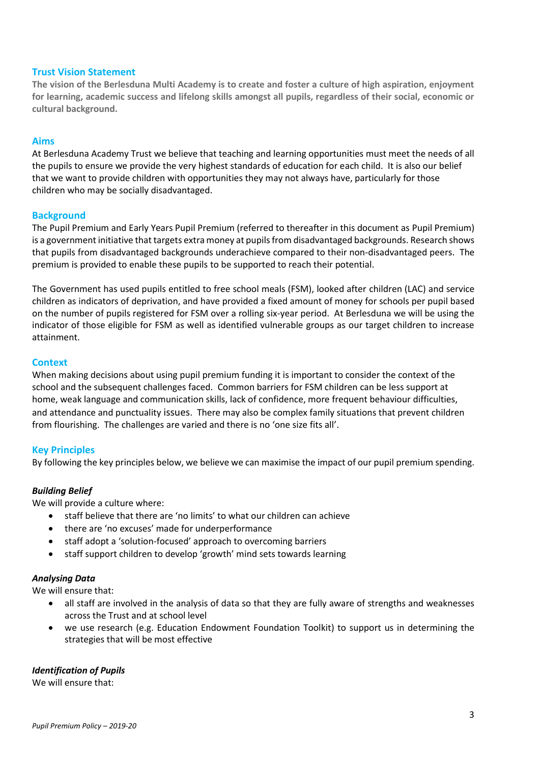## **Trust Vision Statement**

**The vision of the Berlesduna Multi Academy is to create and foster a culture of high aspiration, enjoyment for learning, academic success and lifelong skills amongst all pupils, regardless of their social, economic or cultural background.** 

#### **Aims**

At Berlesduna Academy Trust we believe that teaching and learning opportunities must meet the needs of all the pupils to ensure we provide the very highest standards of education for each child. It is also our belief that we want to provide children with opportunities they may not always have, particularly for those children who may be socially disadvantaged.

#### **Background**

The Pupil Premium and Early Years Pupil Premium (referred to thereafter in this document as Pupil Premium) is a government initiative that targets extra money at pupils from disadvantaged backgrounds. Research shows that pupils from disadvantaged backgrounds underachieve compared to their non-disadvantaged peers. The premium is provided to enable these pupils to be supported to reach their potential.

The Government has used pupils entitled to free school meals (FSM), looked after children (LAC) and service children as indicators of deprivation, and have provided a fixed amount of money for schools per pupil based on the number of pupils registered for FSM over a rolling six-year period. At Berlesduna we will be using the indicator of those eligible for FSM as well as identified vulnerable groups as our target children to increase attainment.

#### **Context**

When making decisions about using pupil premium funding it is important to consider the context of the school and the subsequent challenges faced. Common barriers for FSM children can be less support at home, weak language and communication skills, lack of confidence, more frequent behaviour difficulties, and attendance and punctuality issues. There may also be complex family situations that prevent children from flourishing. The challenges are varied and there is no 'one size fits all'.

#### **Key Principles**

By following the key principles below, we believe we can maximise the impact of our pupil premium spending.

#### *Building Belief*

We will provide a culture where:

- staff believe that there are 'no limits' to what our children can achieve
- there are 'no excuses' made for underperformance
- staff adopt a 'solution-focused' approach to overcoming barriers
- staff support children to develop 'growth' mind sets towards learning

#### *Analysing Data*

We will ensure that:

- all staff are involved in the analysis of data so that they are fully aware of strengths and weaknesses across the Trust and at school level
- we use research (e.g. Education Endowment Foundation Toolkit) to support us in determining the strategies that will be most effective

#### *Identification of Pupils*

We will ensure that: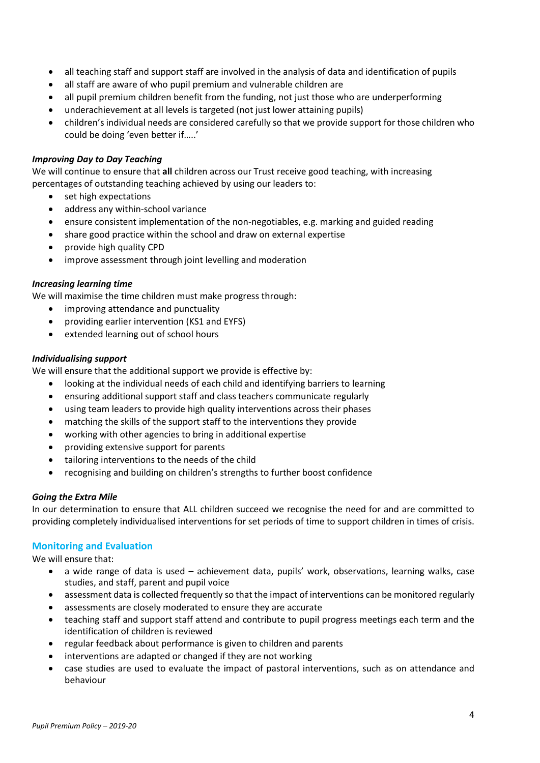- all teaching staff and support staff are involved in the analysis of data and identification of pupils
- all staff are aware of who pupil premium and vulnerable children are
- all pupil premium children benefit from the funding, not just those who are underperforming
- underachievement at all levels is targeted (not just lower attaining pupils)
- children's individual needs are considered carefully so that we provide support for those children who could be doing 'even better if.....'

#### *Improving Day to Day Teaching*

We will continue to ensure that **all** children across our Trust receive good teaching, with increasing percentages of outstanding teaching achieved by using our leaders to:

- set high expectations
- address any within-school variance
- ensure consistent implementation of the non-negotiables, e.g. marking and guided reading
- share good practice within the school and draw on external expertise
- provide high quality CPD
- improve assessment through joint levelling and moderation

#### *Increasing learning time*

We will maximise the time children must make progress through:

- improving attendance and punctuality
- providing earlier intervention (KS1 and EYFS)
- extended learning out of school hours

#### *Individualising support*

We will ensure that the additional support we provide is effective by:

- looking at the individual needs of each child and identifying barriers to learning
- x ensuring additional support staff and class teachers communicate regularly
- x using team leaders to provide high quality interventions across their phases
- matching the skills of the support staff to the interventions they provide
- x working with other agencies to bring in additional expertise
- providing extensive support for parents
- tailoring interventions to the needs of the child
- recognising and building on children's strengths to further boost confidence

#### *Going the Extra Mile*

In our determination to ensure that ALL children succeed we recognise the need for and are committed to providing completely individualised interventions for set periods of time to support children in times of crisis.

# **Monitoring and Evaluation**

We will ensure that:

- a wide range of data is used achievement data, pupils' work, observations, learning walks, case studies, and staff, parent and pupil voice
- assessment data is collected frequently so that the impact of interventions can be monitored regularly
- assessments are closely moderated to ensure they are accurate
- x teaching staff and support staff attend and contribute to pupil progress meetings each term and the identification of children is reviewed
- regular feedback about performance is given to children and parents
- interventions are adapted or changed if they are not working
- case studies are used to evaluate the impact of pastoral interventions, such as on attendance and behaviour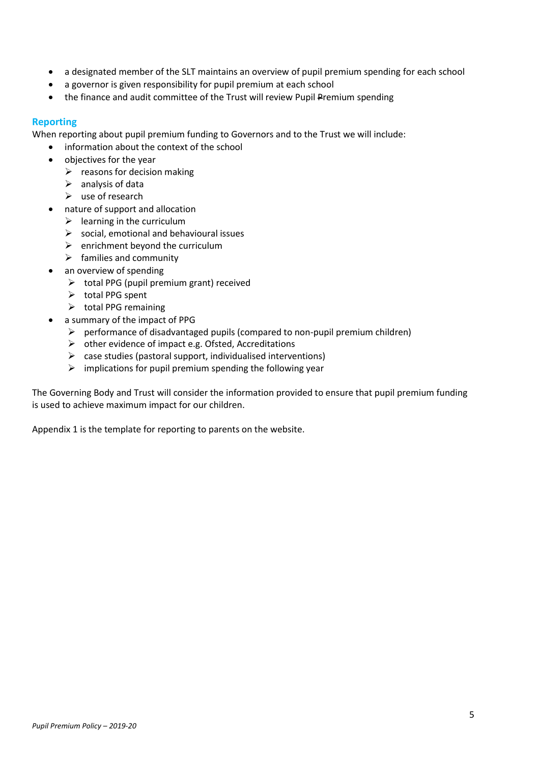- a designated member of the SLT maintains an overview of pupil premium spending for each school
- a governor is given responsibility for pupil premium at each school
- the finance and audit committee of the Trust will review Pupil Premium spending

## **Reporting**

When reporting about pupil premium funding to Governors and to the Trust we will include:

- information about the context of the school
- objectives for the year
	- $\triangleright$  reasons for decision making
	- $\triangleright$  analysis of data
	- $\triangleright$  use of research
- nature of support and allocation
	- $\triangleright$  learning in the curriculum
	- $\triangleright$  social, emotional and behavioural issues
	- $\triangleright$  enrichment beyond the curriculum
	- $\triangleright$  families and community
- an overview of spending
	- $\triangleright$  total PPG (pupil premium grant) received
	- $\triangleright$  total PPG spent
	- $\triangleright$  total PPG remaining
- a summary of the impact of PPG
	- $\triangleright$  performance of disadvantaged pupils (compared to non-pupil premium children)
	- $\triangleright$  other evidence of impact e.g. Ofsted, Accreditations
	- $\triangleright$  case studies (pastoral support, individualised interventions)
	- $\triangleright$  implications for pupil premium spending the following year

The Governing Body and Trust will consider the information provided to ensure that pupil premium funding is used to achieve maximum impact for our children.

Appendix 1 is the template for reporting to parents on the website.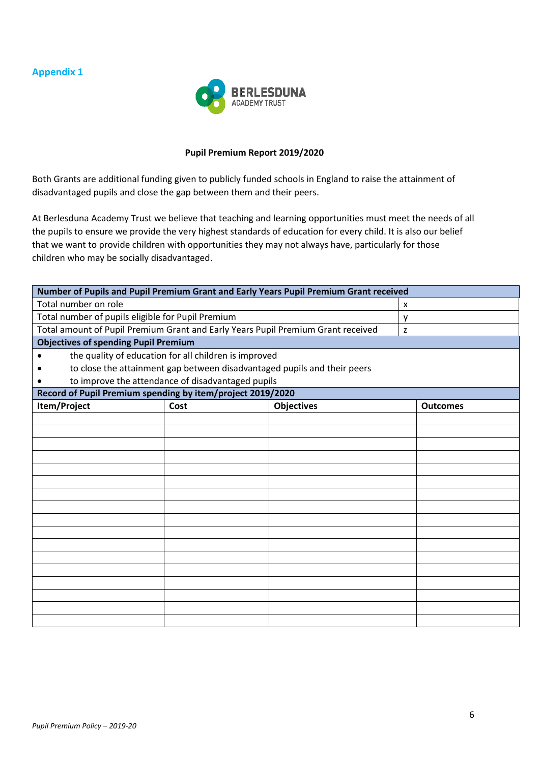# **Appendix 1**



#### **Pupil Premium Report 2019/2020**

Both Grants are additional funding given to publicly funded schools in England to raise the attainment of disadvantaged pupils and close the gap between them and their peers.

At Berlesduna Academy Trust we believe that teaching and learning opportunities must meet the needs of all the pupils to ensure we provide the very highest standards of education for every child. It is also our belief that we want to provide children with opportunities they may not always have, particularly for those children who may be socially disadvantaged.

| Number of Pupils and Pupil Premium Grant and Early Years Pupil Premium Grant received |                                                   |                   |                 |  |  |
|---------------------------------------------------------------------------------------|---------------------------------------------------|-------------------|-----------------|--|--|
| Total number on role                                                                  |                                                   | X                 |                 |  |  |
| Total number of pupils eligible for Pupil Premium                                     |                                                   | у                 |                 |  |  |
| Total amount of Pupil Premium Grant and Early Years Pupil Premium Grant received      |                                                   | z                 |                 |  |  |
| <b>Objectives of spending Pupil Premium</b>                                           |                                                   |                   |                 |  |  |
| the quality of education for all children is improved                                 |                                                   |                   |                 |  |  |
| to close the attainment gap between disadvantaged pupils and their peers              |                                                   |                   |                 |  |  |
|                                                                                       | to improve the attendance of disadvantaged pupils |                   |                 |  |  |
| Record of Pupil Premium spending by item/project 2019/2020                            |                                                   |                   |                 |  |  |
| Item/Project                                                                          | Cost                                              | <b>Objectives</b> | <b>Outcomes</b> |  |  |
|                                                                                       |                                                   |                   |                 |  |  |
|                                                                                       |                                                   |                   |                 |  |  |
|                                                                                       |                                                   |                   |                 |  |  |
|                                                                                       |                                                   |                   |                 |  |  |
|                                                                                       |                                                   |                   |                 |  |  |
|                                                                                       |                                                   |                   |                 |  |  |
|                                                                                       |                                                   |                   |                 |  |  |
|                                                                                       |                                                   |                   |                 |  |  |
|                                                                                       |                                                   |                   |                 |  |  |
|                                                                                       |                                                   |                   |                 |  |  |
|                                                                                       |                                                   |                   |                 |  |  |
|                                                                                       |                                                   |                   |                 |  |  |
|                                                                                       |                                                   |                   |                 |  |  |
|                                                                                       |                                                   |                   |                 |  |  |
|                                                                                       |                                                   |                   |                 |  |  |
|                                                                                       |                                                   |                   |                 |  |  |
|                                                                                       |                                                   |                   |                 |  |  |